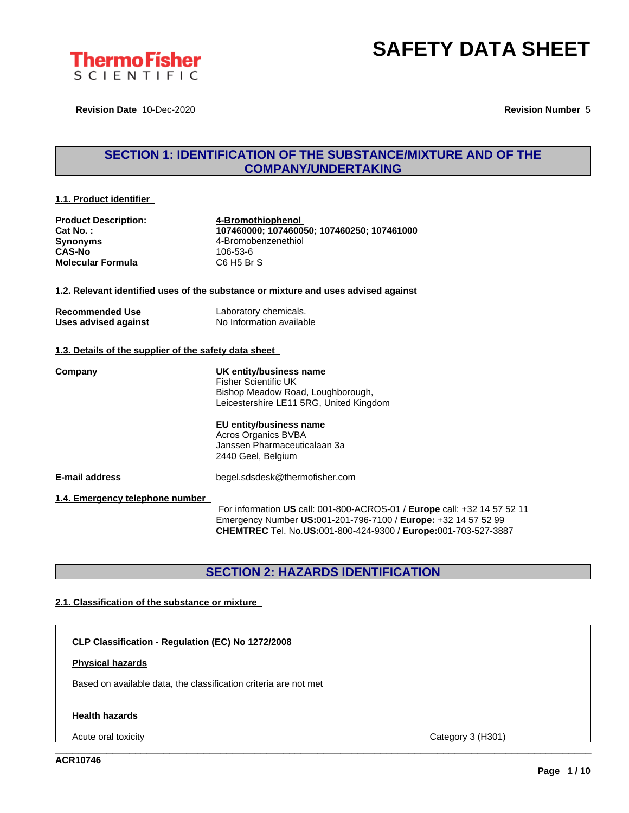

**Revision Date** 10-Dec-2020 **Revision Number** 5

### **SECTION 1: IDENTIFICATION OF THE SUBSTANCE/MIXTURE AND OF THE COMPANY/UNDERTAKING**

#### **1.1. Product identifier**

| <b>Product Description:</b><br>Cat No.:<br><b>Synonyms</b><br><b>CAS-No</b><br><b>Molecular Formula</b> | 4-Bromothiophenol<br>107460000; 107460050; 107460250; 107461000<br>4-Bromobenzenethiol<br>106-53-6<br>C6 H5 Br S                           |  |
|---------------------------------------------------------------------------------------------------------|--------------------------------------------------------------------------------------------------------------------------------------------|--|
|                                                                                                         | 1.2. Relevant identified uses of the substance or mixture and uses advised against                                                         |  |
| <b>Recommended Use</b><br>Uses advised against                                                          | Laboratory chemicals.<br>No Information available                                                                                          |  |
| 1.3. Details of the supplier of the safety data sheet                                                   |                                                                                                                                            |  |
| Company                                                                                                 | UK entity/business name<br><b>Fisher Scientific UK</b><br>Bishop Meadow Road, Loughborough,<br>Leicestershire LE11 5RG, United Kingdom     |  |
|                                                                                                         | EU entity/business name<br>Acros Organics BVBA<br>Janssen Pharmaceuticalaan 3a<br>2440 Geel, Belgium                                       |  |
| <b>E-mail address</b>                                                                                   | begel.sdsdesk@thermofisher.com                                                                                                             |  |
| 1.4. Emergency telephone number                                                                         | For information US call: 001-800-ACROS-01 / Europe call: +32 14 57 52 11<br>Emergency Number US:001-201-796-7100 / Europe: +32 14 57 52 99 |  |

### **SECTION 2: HAZARDS IDENTIFICATION**

**CHEMTREC** Tel. No.**US:**001-800-424-9300 / **Europe:**001-703-527-3887

#### **2.1. Classification of the substance or mixture**

**CLP Classification - Regulation (EC) No 1272/2008**

#### **Physical hazards**

Based on available data, the classification criteria are not met

#### **Health hazards**

Acute oral toxicity Category 3 (H301)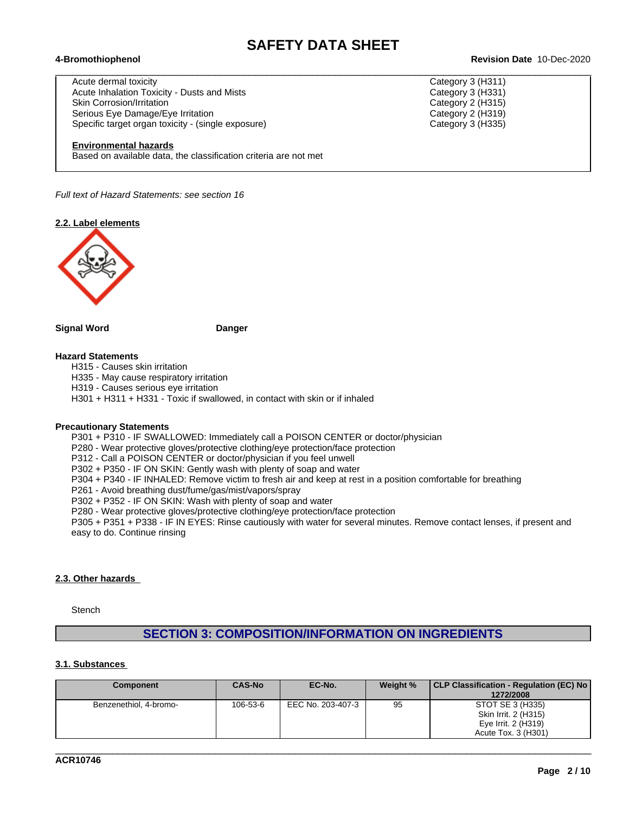$\_$  ,  $\_$  ,  $\_$  ,  $\_$  ,  $\_$  ,  $\_$  ,  $\_$  ,  $\_$  ,  $\_$  ,  $\_$  ,  $\_$  ,  $\_$  ,  $\_$  ,  $\_$  ,  $\_$  ,  $\_$  ,  $\_$  ,  $\_$  ,  $\_$  ,  $\_$  ,  $\_$  ,  $\_$  ,  $\_$  ,  $\_$  ,  $\_$  ,  $\_$  ,  $\_$  ,  $\_$  ,  $\_$  ,  $\_$  ,  $\_$  ,  $\_$  ,  $\_$  ,  $\_$  ,  $\_$  ,  $\_$  ,  $\_$  ,

Acute dermal toxicity Category 3 (H311) Acute Inhalation Toxicity - Dusts and Mists Category 3 (H331) Skin Corrosion/Irritation **Category 2** (H315) Serious Eye Damage/Eye Irritation Category 2 (H319) Specific target organ toxicity - (single exposure) Category 3 (H335)

#### **Environmental hazards**

Based on available data, the classification criteria are not met

*Full text of Hazard Statements: see section 16*

**2.2. Label elements**



**Signal Word Danger**

#### **Hazard Statements**

H315 - Causes skin irritation

H335 - May cause respiratory irritation

H319 - Causes serious eye irritation

H301 + H311 + H331 - Toxic if swallowed, in contact with skin or if inhaled

#### **Precautionary Statements**

P301 + P310 - IF SWALLOWED: Immediately call a POISON CENTER or doctor/physician

P280 - Wear protective gloves/protective clothing/eye protection/face protection

P312 - Call a POISON CENTER or doctor/physician if you feel unwell

P302 + P350 - IF ON SKIN: Gently wash with plenty of soap and water

P304 + P340 - IF INHALED: Remove victim to fresh air and keep atrest in a position comfortable for breathing

P261 - Avoid breathing dust/fume/gas/mist/vapors/spray

P302 + P352 - IF ON SKIN: Wash with plenty of soap and water

P280 - Wear protective gloves/protective clothing/eye protection/face protection

P305 + P351 + P338 - IF IN EYES: Rinse cautiously with water for several minutes. Remove contact lenses, if present and easy to do. Continue rinsing

#### **2.3. Other hazards**

**Stench** 

### **SECTION 3: COMPOSITION/INFORMATION ON INGREDIENTS**

#### **3.1. Substances**

| Component              | CAS-No   | EC-No.            | Weight % | CLP Classification - Regulation (EC) No  <br>1272/2008 |
|------------------------|----------|-------------------|----------|--------------------------------------------------------|
| Benzenethiol, 4-bromo- | 106-53-6 | EEC No. 203-407-3 | 95       | STOT SE 3 (H335)                                       |
|                        |          |                   |          | Skin Irrit. 2 (H315)                                   |
|                        |          |                   |          | Eye Irrit. 2 (H319)                                    |
|                        |          |                   |          | Acute Tox. 3 (H301)                                    |

**ACR10746**

**Page 2 / 10**

#### **4-Bromothiophenol Revision Date** 10-Dec-2020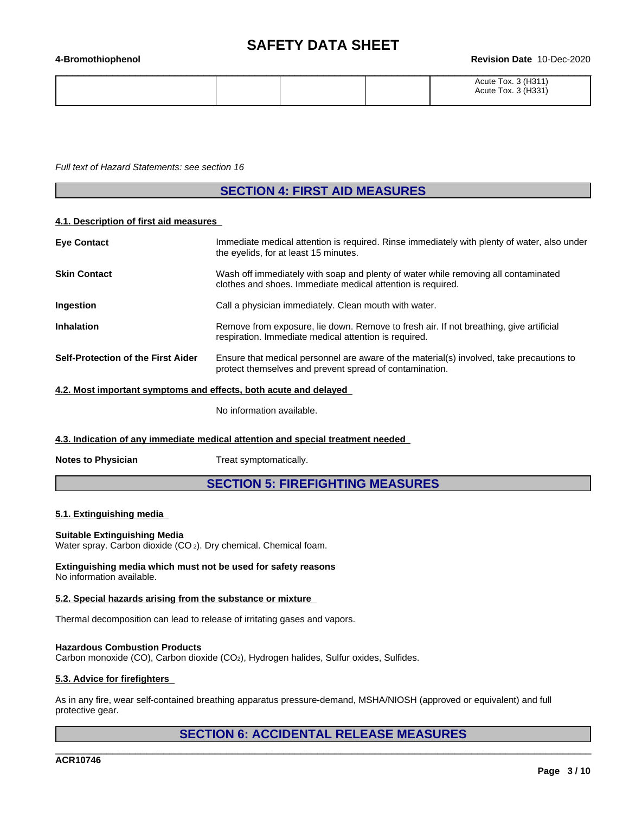#### **4-Bromothiophenol Revision Date** 10-Dec-2020

|  | Acute Tox. 3 (H311)<br>1.1004<br>$\sim$<br>Acute Tox<br>ּטטו |  |
|--|--------------------------------------------------------------|--|

*Full text of Hazard Statements: see section 16*

### **SECTION 4: FIRST AID MEASURES**

#### **4.1. Description of first aid measures**

| <b>Eye Contact</b>                                               | Immediate medical attention is required. Rinse immediately with plenty of water, also under<br>the eyelids, for at least 15 minutes.                |
|------------------------------------------------------------------|-----------------------------------------------------------------------------------------------------------------------------------------------------|
| <b>Skin Contact</b>                                              | Wash off immediately with soap and plenty of water while removing all contaminated<br>clothes and shoes. Immediate medical attention is required.   |
| <b>Ingestion</b>                                                 | Call a physician immediately. Clean mouth with water.                                                                                               |
| <b>Inhalation</b>                                                | Remove from exposure, lie down. Remove to fresh air. If not breathing, give artificial<br>respiration. Immediate medical attention is required.     |
| Self-Protection of the First Aider                               | Ensure that medical personnel are aware of the material(s) involved, take precautions to<br>protect themselves and prevent spread of contamination. |
| A 2. Most important symptoms and effects, both acute and delayed |                                                                                                                                                     |

#### **4.2. Most important symptoms and effects, both acute and delayed**

No information available.

**4.3. Indication of any immediate medical attention and special treatment needed**

**Notes to Physician** Treat symptomatically.

### **SECTION 5: FIREFIGHTING MEASURES**

#### **5.1. Extinguishing media**

#### **Suitable Extinguishing Media**

Water spray. Carbon dioxide (CO<sub>2</sub>). Dry chemical. Chemical foam.

**Extinguishing media which must not be used for safety reasons** No information available.

#### **5.2. Special hazards arising from the substance or mixture**

Thermal decomposition can lead to release of irritating gases and vapors.

#### **Hazardous Combustion Products**

Carbon monoxide (CO), Carbon dioxide (CO2), Hydrogen halides, Sulfur oxides, Sulfides.

#### **5.3. Advice for firefighters**

As in any fire, wear self-contained breathing apparatus pressure-demand, MSHA/NIOSH (approved or equivalent) and full protective gear.

### **SECTION 6: ACCIDENTAL RELEASE MEASURES**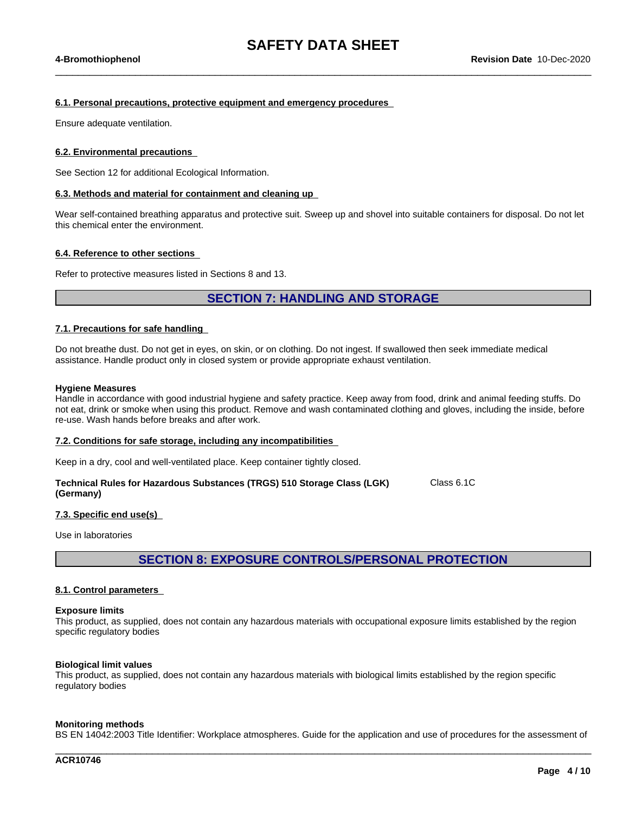$\_$  ,  $\_$  ,  $\_$  ,  $\_$  ,  $\_$  ,  $\_$  ,  $\_$  ,  $\_$  ,  $\_$  ,  $\_$  ,  $\_$  ,  $\_$  ,  $\_$  ,  $\_$  ,  $\_$  ,  $\_$  ,  $\_$  ,  $\_$  ,  $\_$  ,  $\_$  ,  $\_$  ,  $\_$  ,  $\_$  ,  $\_$  ,  $\_$  ,  $\_$  ,  $\_$  ,  $\_$  ,  $\_$  ,  $\_$  ,  $\_$  ,  $\_$  ,  $\_$  ,  $\_$  ,  $\_$  ,  $\_$  ,  $\_$  ,

#### **6.1. Personal precautions, protective equipment and emergency procedures**

Ensure adequate ventilation.

#### **6.2. Environmental precautions**

See Section 12 for additional Ecological Information.

#### **6.3. Methods and material for containment and cleaning up**

Wear self-contained breathing apparatus and protective suit. Sweep up and shovel into suitable containers for disposal. Do not let this chemical enter the environment.

#### **6.4. Reference to other sections**

Refer to protective measures listed in Sections 8 and 13.

### **SECTION 7: HANDLING AND STORAGE**

#### **7.1. Precautions for safe handling**

Do not breathe dust. Do not get in eyes, on skin, or on clothing. Do not ingest. If swallowed then seek immediate medical assistance. Handle product only in closed system or provide appropriate exhaust ventilation.

#### **Hygiene Measures**

Handle in accordance with good industrial hygiene and safety practice. Keep away from food, drink and animal feeding stuffs. Do not eat, drink or smoke when using this product. Remove and wash contaminated clothing and gloves, including the inside, before re-use. Wash hands before breaks and after work.

#### **7.2. Conditions for safe storage, including any incompatibilities**

Keep in a dry, cool and well-ventilated place. Keep container tightly closed.

| Technical Rules for Hazardous Substances (TRGS) 510 Storage Class (LGK) | Class 6.1C |
|-------------------------------------------------------------------------|------------|
| (Germany)                                                               |            |

#### **7.3. Specific end use(s)**

Use in laboratories

**SECTION 8: EXPOSURE CONTROLS/PERSONAL PROTECTION**

#### **8.1. Control parameters**

#### **Exposure limits**

This product, as supplied, does not contain any hazardous materials with occupational exposure limits established by the region specific regulatory bodies

#### **Biological limit values**

This product, as supplied, does not contain any hazardous materials with biological limits established by the region specific regulatory bodies

#### **Monitoring methods**

BS EN 14042:2003 Title Identifier: Workplace atmospheres. Guide for the application and use of procedures for the assessment of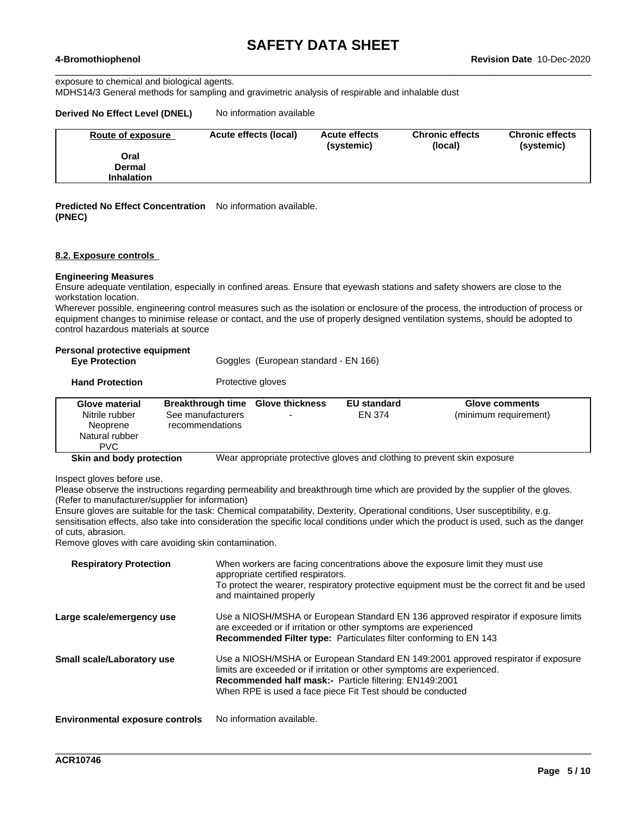$\_$  ,  $\_$  ,  $\_$  ,  $\_$  ,  $\_$  ,  $\_$  ,  $\_$  ,  $\_$  ,  $\_$  ,  $\_$  ,  $\_$  ,  $\_$  ,  $\_$  ,  $\_$  ,  $\_$  ,  $\_$  ,  $\_$  ,  $\_$  ,  $\_$  ,  $\_$  ,  $\_$  ,  $\_$  ,  $\_$  ,  $\_$  ,  $\_$  ,  $\_$  ,  $\_$  ,  $\_$  ,  $\_$  ,  $\_$  ,  $\_$  ,  $\_$  ,  $\_$  ,  $\_$  ,  $\_$  ,  $\_$  ,  $\_$  , exposure to chemical and biological agents.

MDHS14/3 General methods for sampling and gravimetric analysis of respirable and inhalable dust

#### **Derived No Effect Level (DNEL)** No information available

| Route of exposure | Acute effects (local) | <b>Acute effects</b><br>(systemic) | <b>Chronic effects</b><br>(local) | <b>Chronic effects</b><br>(systemic) |
|-------------------|-----------------------|------------------------------------|-----------------------------------|--------------------------------------|
| Oral              |                       |                                    |                                   |                                      |
| <b>Dermal</b>     |                       |                                    |                                   |                                      |
| <b>Inhalation</b> |                       |                                    |                                   |                                      |

**Predicted No Effect Concentration** No information available. **(PNEC)**

#### **8.2. Exposure controls**

#### **Engineering Measures**

Ensure adequate ventilation, especially in confined areas. Ensure that eyewash stations and safety showers are close to the workstation location.

Wherever possible, engineering control measures such as the isolation or enclosure of the process, the introduction of process or equipment changes to minimise release or contact, and the use of properly designed ventilation systems, should be adopted to control hazardous materials at source

#### **Personal protective equipment**

| <b>Eye Protection</b> |  | Goggles (European standard - EN 166) |  |  |
|-----------------------|--|--------------------------------------|--|--|

| <b>Hand Protection</b> | Protective gloves |  |
|------------------------|-------------------|--|
|------------------------|-------------------|--|

| <b>Glove material</b><br>Nitrile rubber<br>Neoprene<br>Natural rubber<br><b>PVC</b> | <b>Breakthrough time Glove thickness</b><br>See manufacturers<br>recommendations |  | <b>EU standard</b><br>EN 374 | Glove comments<br>(minimum requirement) |
|-------------------------------------------------------------------------------------|----------------------------------------------------------------------------------|--|------------------------------|-----------------------------------------|
|-------------------------------------------------------------------------------------|----------------------------------------------------------------------------------|--|------------------------------|-----------------------------------------|

**Skin and body protection** Wear appropriate protective gloves and clothing to prevent skin exposure

Inspect gloves before use.

Please observe the instructions regarding permeability and breakthrough time which are provided by the supplier of the gloves. (Refer to manufacturer/supplier for information)

Ensure gloves are suitable for the task: Chemical compatability, Dexterity, Operational conditions, User susceptibility, e.g. sensitisation effects, also take into consideration the specific local conditions under which the product is used, such as the danger of cuts, abrasion.

Remove gloves with care avoiding skin contamination.

| <b>Respiratory Protection</b>          | When workers are facing concentrations above the exposure limit they must use<br>appropriate certified respirators.<br>To protect the wearer, respiratory protective equipment must be the correct fit and be used<br>and maintained properly                                        |
|----------------------------------------|--------------------------------------------------------------------------------------------------------------------------------------------------------------------------------------------------------------------------------------------------------------------------------------|
| Large scale/emergency use              | Use a NIOSH/MSHA or European Standard EN 136 approved respirator if exposure limits<br>are exceeded or if irritation or other symptoms are experienced<br>Recommended Filter type: Particulates filter conforming to EN 143                                                          |
| Small scale/Laboratory use             | Use a NIOSH/MSHA or European Standard EN 149:2001 approved respirator if exposure<br>limits are exceeded or if irritation or other symptoms are experienced.<br>Recommended half mask:- Particle filtering: EN149:2001<br>When RPE is used a face piece Fit Test should be conducted |
| <b>Environmental exposure controls</b> | No information available.                                                                                                                                                                                                                                                            |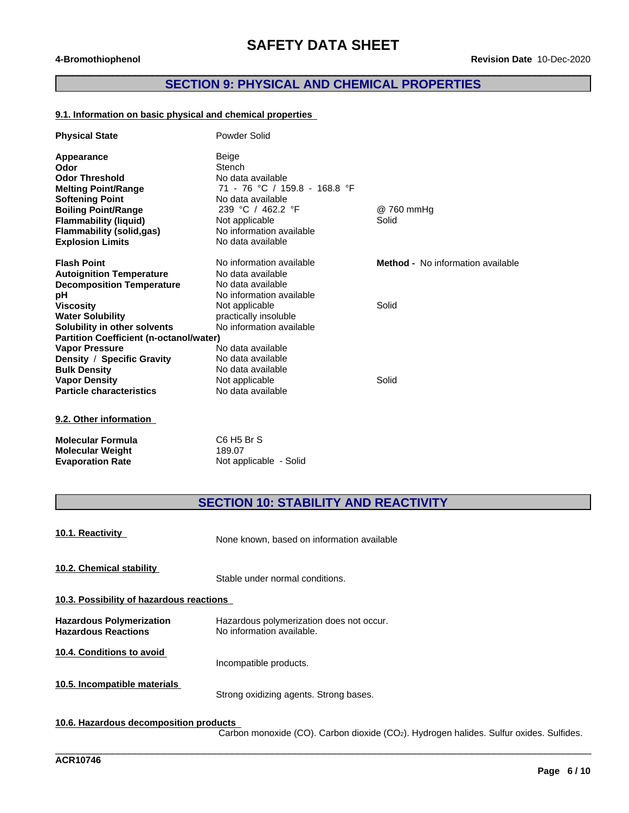### **SECTION 9: PHYSICAL AND CHEMICAL PROPERTIES**

 $\overline{\phantom{a}}$  , and the contribution of the contribution of the contribution of the contribution of the contribution of the contribution of the contribution of the contribution of the contribution of the contribution of the

#### **9.1. Information on basic physical and chemical properties**

| <b>Physical State</b>                          | Powder Solid                  |                                          |
|------------------------------------------------|-------------------------------|------------------------------------------|
| Appearance                                     | Beige                         |                                          |
| Odor                                           | Stench                        |                                          |
| <b>Odor Threshold</b>                          | No data available             |                                          |
| <b>Melting Point/Range</b>                     | 71 - 76 °C / 159.8 - 168.8 °F |                                          |
| <b>Softening Point</b>                         | No data available             |                                          |
| <b>Boiling Point/Range</b>                     | 239 °C / 462.2 °F             | @ 760 mmHg                               |
| <b>Flammability (liquid)</b>                   | Not applicable                | Solid                                    |
| <b>Flammability (solid,gas)</b>                | No information available      |                                          |
| <b>Explosion Limits</b>                        | No data available             |                                          |
| <b>Flash Point</b>                             | No information available      | <b>Method -</b> No information available |
| <b>Autoignition Temperature</b>                | No data available             |                                          |
| <b>Decomposition Temperature</b>               | No data available             |                                          |
| рH                                             | No information available      |                                          |
| <b>Viscosity</b>                               | Not applicable                | Solid                                    |
| <b>Water Solubility</b>                        | practically insoluble         |                                          |
| Solubility in other solvents                   | No information available      |                                          |
| <b>Partition Coefficient (n-octanol/water)</b> |                               |                                          |
| <b>Vapor Pressure</b>                          | No data available             |                                          |
| Density / Specific Gravity                     | No data available             |                                          |
| <b>Bulk Density</b>                            | No data available             |                                          |
| <b>Vapor Density</b>                           | Not applicable                | Solid                                    |
| <b>Particle characteristics</b>                | No data available             |                                          |
| 9.2. Other information                         |                               |                                          |

**Molecular Formula** C6 H5 Br S<br> **Molecular Weight** 189.07 **Molecular Weight<br>Evaporation Rate** 

**Not applicable - Solid** 

**SECTION 10: STABILITY AND REACTIVITY**

| 10.1. Reactivity                                       | None known, based on information available                            |  |  |
|--------------------------------------------------------|-----------------------------------------------------------------------|--|--|
| 10.2. Chemical stability                               | Stable under normal conditions.                                       |  |  |
| 10.3. Possibility of hazardous reactions               |                                                                       |  |  |
| Hazardous Polymerization<br><b>Hazardous Reactions</b> | Hazardous polymerization does not occur.<br>No information available. |  |  |
| 10.4. Conditions to avoid                              | Incompatible products.                                                |  |  |
| 10.5. Incompatible materials                           | Strong oxidizing agents. Strong bases.                                |  |  |

#### **10.6. Hazardous decomposition products**

Carbon monoxide (CO). Carbon dioxide (CO2). Hydrogen halides. Sulfur oxides. Sulfides.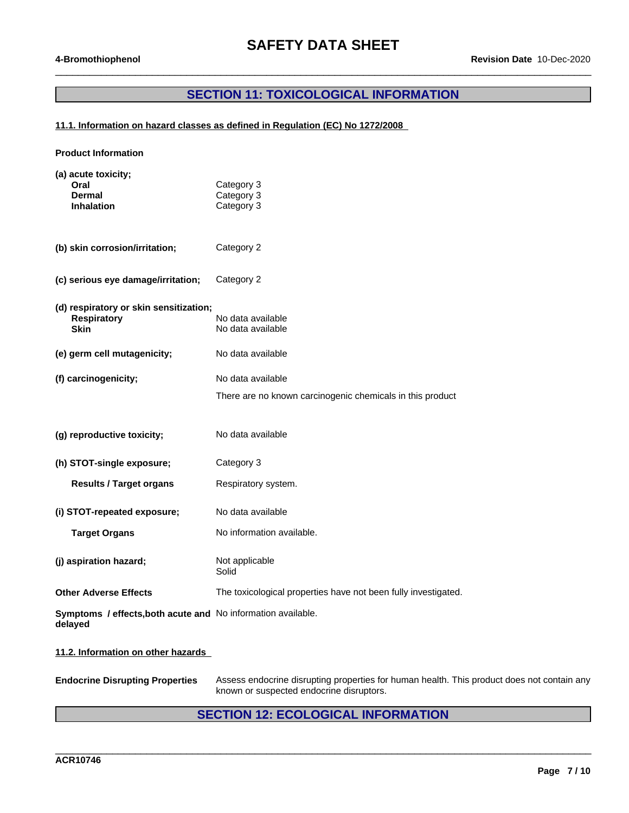### **SECTION 11: TOXICOLOGICAL INFORMATION**

 $\_$  ,  $\_$  ,  $\_$  ,  $\_$  ,  $\_$  ,  $\_$  ,  $\_$  ,  $\_$  ,  $\_$  ,  $\_$  ,  $\_$  ,  $\_$  ,  $\_$  ,  $\_$  ,  $\_$  ,  $\_$  ,  $\_$  ,  $\_$  ,  $\_$  ,  $\_$  ,  $\_$  ,  $\_$  ,  $\_$  ,  $\_$  ,  $\_$  ,  $\_$  ,  $\_$  ,  $\_$  ,  $\_$  ,  $\_$  ,  $\_$  ,  $\_$  ,  $\_$  ,  $\_$  ,  $\_$  ,  $\_$  ,  $\_$  ,

### **11.1. Information on hazard classes as defined in Regulation (EC) No 1272/2008**

| <b>Product Information</b>                                              |                                                                |  |  |  |
|-------------------------------------------------------------------------|----------------------------------------------------------------|--|--|--|
| (a) acute toxicity;<br>Oral<br><b>Dermal</b><br><b>Inhalation</b>       | Category 3<br>Category 3<br>Category 3                         |  |  |  |
| (b) skin corrosion/irritation;                                          | Category 2                                                     |  |  |  |
| (c) serious eye damage/irritation;                                      | Category 2                                                     |  |  |  |
| (d) respiratory or skin sensitization;<br><b>Respiratory</b><br>Skin    | No data available<br>No data available                         |  |  |  |
| (e) germ cell mutagenicity;                                             | No data available                                              |  |  |  |
| (f) carcinogenicity;                                                    | No data available                                              |  |  |  |
|                                                                         | There are no known carcinogenic chemicals in this product      |  |  |  |
| (g) reproductive toxicity;                                              | No data available                                              |  |  |  |
| (h) STOT-single exposure;                                               | Category 3                                                     |  |  |  |
| <b>Results / Target organs</b>                                          | Respiratory system.                                            |  |  |  |
| (i) STOT-repeated exposure;                                             | No data available                                              |  |  |  |
| <b>Target Organs</b>                                                    | No information available.                                      |  |  |  |
| (j) aspiration hazard;                                                  | Not applicable<br>Solid                                        |  |  |  |
| <b>Other Adverse Effects</b>                                            | The toxicological properties have not been fully investigated. |  |  |  |
| Symptoms / effects, both acute and No information available.<br>delayed |                                                                |  |  |  |
| 11.2. Information on other hazards                                      |                                                                |  |  |  |

**Endocrine Disrupting Properties** Assess endocrine disrupting properties for human health. This product does not contain any known or suspected endocrine disruptors.

### **SECTION 12: ECOLOGICAL INFORMATION**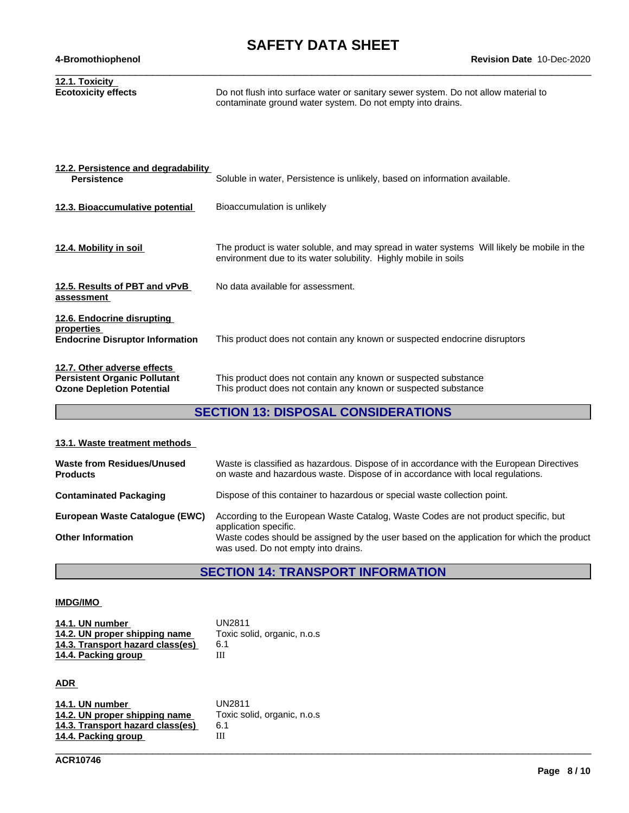| 12.1. Toxicity<br><b>Ecotoxicity effects</b>                       | Do not flush into surface water or sanitary sewer system. Do not allow material to<br>contaminate ground water system. Do not empty into drains.              |
|--------------------------------------------------------------------|---------------------------------------------------------------------------------------------------------------------------------------------------------------|
|                                                                    |                                                                                                                                                               |
| 12.2. Persistence and degradability<br><b>Persistence</b>          | Soluble in water, Persistence is unlikely, based on information available.                                                                                    |
| 12.3. Bioaccumulative potential                                    | Bioaccumulation is unlikely                                                                                                                                   |
|                                                                    |                                                                                                                                                               |
| 12.4. Mobility in soil                                             | The product is water soluble, and may spread in water systems Will likely be mobile in the<br>environment due to its water solubility. Highly mobile in soils |
| 12.5. Results of PBT and vPvB<br>assessment                        | No data available for assessment.                                                                                                                             |
| 12.6. Endocrine disrupting<br>properties                           |                                                                                                                                                               |
| <b>Endocrine Disruptor Information</b>                             | This product does not contain any known or suspected endocrine disruptors                                                                                     |
| 12.7. Other adverse effects<br><b>Persistent Organic Pollutant</b> | This product does not contain any known or suspected substance                                                                                                |
| <b>Ozone Depletion Potential</b>                                   | This product does not contain any known or suspected substance                                                                                                |

### **SECTION 13: DISPOSAL CONSIDERATIONS**

### **13.1. Waste treatment methods**

| Waste codes should be assigned by the user based on the application for which the product |
|-------------------------------------------------------------------------------------------|
|                                                                                           |

### **SECTION 14: TRANSPORT INFORMATION**

#### **IMDG/IMO**

| 14.1. UN number                  | UN2811                      |
|----------------------------------|-----------------------------|
| 14.2. UN proper shipping name    | Toxic solid, organic, n.o.s |
| 14.3. Transport hazard class(es) | 6.1                         |
| 14.4. Packing group              |                             |

### **ADR**

| 14.1. UN number                  | UN2811                      |
|----------------------------------|-----------------------------|
| 14.2. UN proper shipping name    | Toxic solid, organic, n.o.s |
| 14.3. Transport hazard class(es) | 6.1                         |
| 14.4. Packing group              |                             |
|                                  |                             |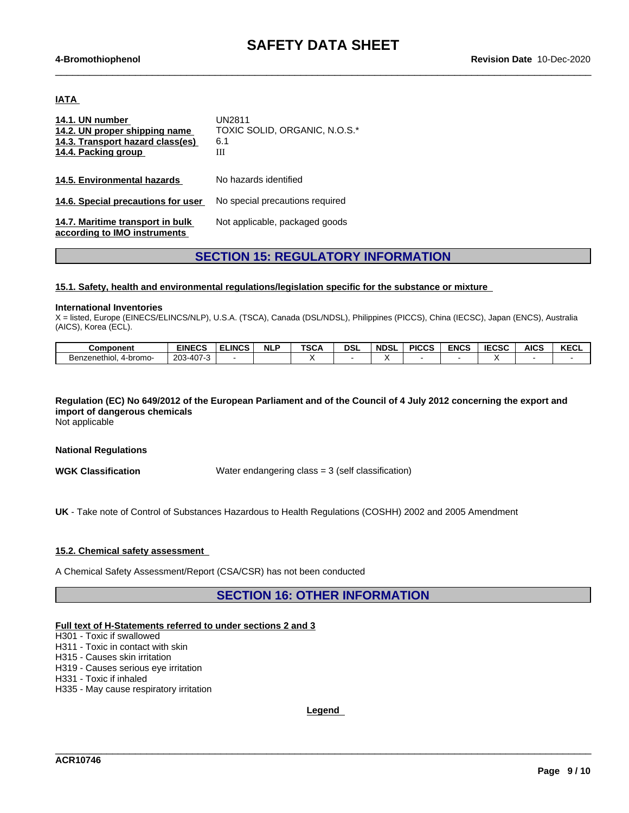$\_$  ,  $\_$  ,  $\_$  ,  $\_$  ,  $\_$  ,  $\_$  ,  $\_$  ,  $\_$  ,  $\_$  ,  $\_$  ,  $\_$  ,  $\_$  ,  $\_$  ,  $\_$  ,  $\_$  ,  $\_$  ,  $\_$  ,  $\_$  ,  $\_$  ,  $\_$  ,  $\_$  ,  $\_$  ,  $\_$  ,  $\_$  ,  $\_$  ,  $\_$  ,  $\_$  ,  $\_$  ,  $\_$  ,  $\_$  ,  $\_$  ,  $\_$  ,  $\_$  ,  $\_$  ,  $\_$  ,  $\_$  ,  $\_$  ,

#### **IATA**

| 14.1. UN number<br>14.2. UN proper shipping name<br>14.3. Transport hazard class(es)<br>14.4. Packing group | <b>UN2811</b><br>TOXIC SOLID, ORGANIC, N.O.S.*<br>6.1<br>Ш |
|-------------------------------------------------------------------------------------------------------------|------------------------------------------------------------|
| 14.5. Environmental hazards                                                                                 | No hazards identified                                      |
| 14.6. Special precautions for user                                                                          | No special precautions required                            |
| 14.7. Maritime transport in bulk<br>according to IMO instruments                                            | Not applicable, packaged goods                             |

### **SECTION 15: REGULATORY INFORMATION**

#### **15.1. Safety, health and environmental regulations/legislation specific for the substance or mixture**

#### **International Inventories**

X = listed, Europe (EINECS/ELINCS/NLP), U.S.A. (TSCA), Canada (DSL/NDSL), Philippines (PICCS), China (IECSC), Japan (ENCS), Australia (AICS), Korea (ECL).

| <b>Component</b>                       | <b>EINECS</b>                       | <b>ELINCS</b> | <b>NLP</b> | <b>TSCA</b> | DSL | <b>NDSL</b> | <b>PICCS</b> | <b>ENCS</b> | <b>LIECSS</b><br>ะบอเ | <b>AICS</b> | <b>KECL</b> |
|----------------------------------------|-------------------------------------|---------------|------------|-------------|-----|-------------|--------------|-------------|-----------------------|-------------|-------------|
| 4-bromo-<br>Benzenethiol<br>116911101. | 1072<br>$203 - 4$<br>ัπ∪<br>$\cdot$ |               |            |             |     |             |              |             |                       |             |             |

### Regulation (EC) No 649/2012 of the European Parliament and of the Council of 4 July 2012 concerning the export and **import of dangerous chemicals**

Not applicable

#### **National Regulations**

**WGK Classification** Water endangering class = 3 (self classification)

**UK** - Take note of Control of Substances Hazardous to Health Regulations (COSHH) 2002 and 2005 Amendment

#### **15.2. Chemical safety assessment**

A Chemical Safety Assessment/Report (CSA/CSR) has not been conducted

### **SECTION 16: OTHER INFORMATION**

#### **Full text of H-Statements referred to undersections 2 and 3**

H301 - Toxic if swallowed

H311 - Toxic in contact with skin

H315 - Causes skin irritation

H319 - Causes serious eye irritation

H331 - Toxic if inhaled

H335 - May cause respiratory irritation

**Legend**